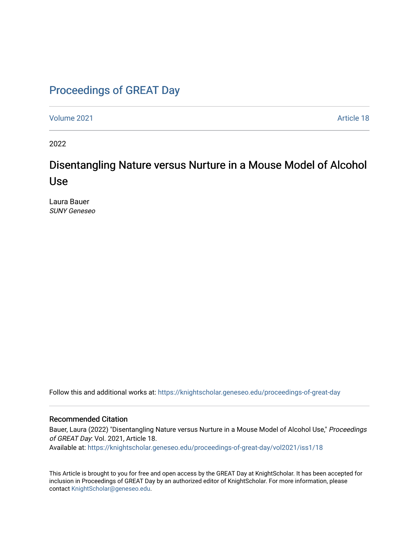# [Proceedings of GREAT Day](https://knightscholar.geneseo.edu/proceedings-of-great-day)

[Volume 2021](https://knightscholar.geneseo.edu/proceedings-of-great-day/vol2021) [Article 18](https://knightscholar.geneseo.edu/proceedings-of-great-day/vol2021/iss1/18) 

2022

# Disentangling Nature versus Nurture in a Mouse Model of Alcohol Use

Laura Bauer SUNY Geneseo

Follow this and additional works at: [https://knightscholar.geneseo.edu/proceedings-of-great-day](https://knightscholar.geneseo.edu/proceedings-of-great-day?utm_source=knightscholar.geneseo.edu%2Fproceedings-of-great-day%2Fvol2021%2Fiss1%2F18&utm_medium=PDF&utm_campaign=PDFCoverPages) 

### Recommended Citation

Bauer, Laura (2022) "Disentangling Nature versus Nurture in a Mouse Model of Alcohol Use," Proceedings of GREAT Day: Vol. 2021, Article 18.

Available at: [https://knightscholar.geneseo.edu/proceedings-of-great-day/vol2021/iss1/18](https://knightscholar.geneseo.edu/proceedings-of-great-day/vol2021/iss1/18?utm_source=knightscholar.geneseo.edu%2Fproceedings-of-great-day%2Fvol2021%2Fiss1%2F18&utm_medium=PDF&utm_campaign=PDFCoverPages)

This Article is brought to you for free and open access by the GREAT Day at KnightScholar. It has been accepted for inclusion in Proceedings of GREAT Day by an authorized editor of KnightScholar. For more information, please contact [KnightScholar@geneseo.edu.](mailto:KnightScholar@geneseo.edu)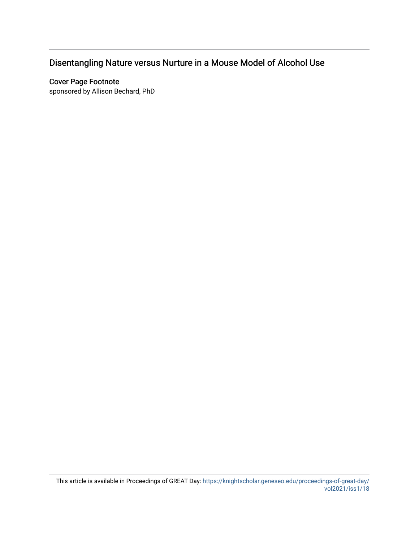# Disentangling Nature versus Nurture in a Mouse Model of Alcohol Use

## Cover Page Footnote

sponsored by Allison Bechard, PhD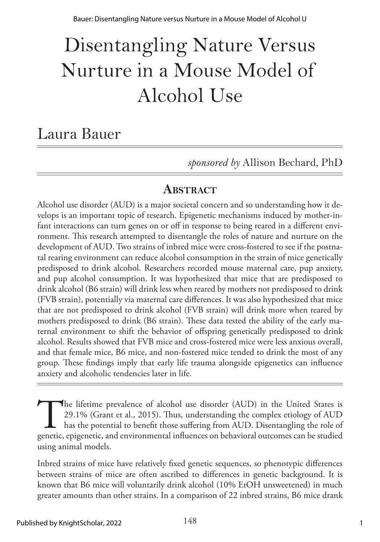# Disentangling Nature Versus Nurture in a Mouse Model of Alcohol Use

# Laura Bauer

*sponsored by* Allison Bechard, PhD

# **ABSTRACT**

Alcohol use disorder (AUD) is a major societal concern and so understanding how it develops is an important topic of research. Epigenetic mechanisms induced by mother-infant interactions can turn genes on or off in response to being reared in a different environment. This research attempted to disentangle the roles of nature and nurture on the development of AUD. Two strains of inbred mice were cross-fostered to see if the postnatal rearing environment can reduce alcohol consumption in the strain of mice genetically predisposed to drink alcohol. Researchers recorded mouse maternal care, pup anxiety, and pup alcohol consumption. It was hypothesized that mice that are predisposed to drink alcohol (B6 strain) will drink less when reared by mothers not predisposed to drink (FVB strain), potentially via maternal care differences. It was also hypothesized that mice that are not predisposed to drink alcohol (FVB strain) will drink more when reared by mothers predisposed to drink (B6 strain). These data tested the ability of the early maternal environment to shift the behavior of offspring genetically predisposed to drink alcohol. Results showed that FVB mice and cross-fostered mice were less anxious overall, and that female mice, B6 mice, and non-fostered mice tended to drink the most of any group. These findings imply that early life trauma alongside epigenetics can influence anxiety and alcoholic tendencies later in life.

The lifetime prevalence of alcohol use disorder (AUD) in the United States is 29.1% (Grant et al., 2015). Thus, understanding the complex etiology of AUD has the potential to benefit those suffering from AUD. Disentangling 29.1% (Grant et al., 2015). Thus, understanding the complex etiology of AUD has the potential to benefit those suffering from AUD. Disentangling the role of genetic, epigenetic, and environmental influences on behavioral outcomes can be studied using animal models.

Inbred strains of mice have relatively fixed genetic sequences, so phenotypic differences between strains of mice are often ascribed to differences in genetic background. It is known that B6 mice will voluntarily drink alcohol (10% EtOH unsweetened) in much greater amounts than other strains. In a comparison of 22 inbred strains, B6 mice drank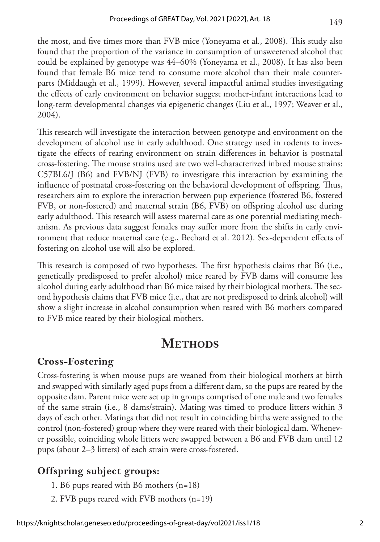the most, and five times more than FVB mice (Yoneyama et al., 2008). This study also found that the proportion of the variance in consumption of unsweetened alcohol that could be explained by genotype was 44–60% (Yoneyama et al., 2008). It has also been found that female B6 mice tend to consume more alcohol than their male counterparts (Middaugh et al., 1999). However, several impactful animal studies investigating the effects of early environment on behavior suggest mother-infant interactions lead to long-term developmental changes via epigenetic changes (Liu et al., 1997; Weaver et al., 2004).

This research will investigate the interaction between genotype and environment on the development of alcohol use in early adulthood. One strategy used in rodents to investigate the effects of rearing environment on strain differences in behavior is postnatal cross-fostering. The mouse strains used are two well-characterized inbred mouse strains: C57BL6/J (B6) and FVB/NJ (FVB) to investigate this interaction by examining the influence of postnatal cross-fostering on the behavioral development of offspring. Thus, researchers aim to explore the interaction between pup experience (fostered B6, fostered FVB, or non-fostered) and maternal strain (B6, FVB) on offspring alcohol use during early adulthood. This research will assess maternal care as one potential mediating mechanism. As previous data suggest females may suffer more from the shifts in early environment that reduce maternal care (e.g., Bechard et al. 2012). Sex-dependent effects of fostering on alcohol use will also be explored.

This research is composed of two hypotheses. The first hypothesis claims that B6 (i.e., genetically predisposed to prefer alcohol) mice reared by FVB dams will consume less alcohol during early adulthood than B6 mice raised by their biological mothers. The second hypothesis claims that FVB mice (i.e., that are not predisposed to drink alcohol) will show a slight increase in alcohol consumption when reared with B6 mothers compared to FVB mice reared by their biological mothers.

# **METHODS**

# **Cross-Fostering**

Cross-fostering is when mouse pups are weaned from their biological mothers at birth and swapped with similarly aged pups from a different dam, so the pups are reared by the opposite dam. Parent mice were set up in groups comprised of one male and two females of the same strain (i.e., 8 dams/strain). Mating was timed to produce litters within 3 days of each other. Matings that did not result in coinciding births were assigned to the control (non-fostered) group where they were reared with their biological dam. Whenever possible, coinciding whole litters were swapped between a B6 and FVB dam until 12 pups (about 2–3 litters) of each strain were cross-fostered.

# **Offspring subject groups:**

- 1. B6 pups reared with B6 mothers (n=18)
- 2. FVB pups reared with FVB mothers (n=19)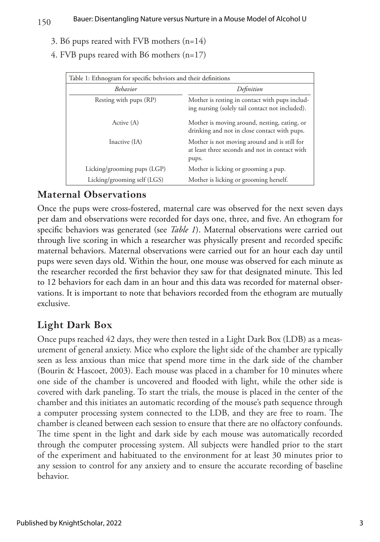#### 150 Bauer: Disentangling Nature versus Nurture in a Mouse Model of Alcohol U

- 3. B6 pups reared with FVB mothers (n=14)
- 4. FVB pups reared with B6 mothers (n=17)

| Table 1: Ethnogram for specific behviors and their definitions |                                                                                                         |
|----------------------------------------------------------------|---------------------------------------------------------------------------------------------------------|
| <b>Behavior</b>                                                | Definition                                                                                              |
| Resting with pups (RP)                                         | Mother is resting in contact with pups includ-<br>ing nursing (solely tail contact not included).       |
| Active (A)                                                     | Mother is moving around, nesting, eating, or<br>drinking and not in close contact with pups.            |
| Inactive (IA)                                                  | Mother is not moving around and is still for<br>at least three seconds and not in contact with<br>pups. |
| Licking/grooming pups (LGP)                                    | Mother is licking or grooming a pup.                                                                    |
| Licking/grooming self (LGS)                                    | Mother is licking or grooming herself.                                                                  |

### **Maternal Observations**

Once the pups were cross-fostered, maternal care was observed for the next seven days per dam and observations were recorded for days one, three, and five. An ethogram for specific behaviors was generated (see *Table 1*). Maternal observations were carried out through live scoring in which a researcher was physically present and recorded specific maternal behaviors. Maternal observations were carried out for an hour each day until pups were seven days old. Within the hour, one mouse was observed for each minute as the researcher recorded the first behavior they saw for that designated minute. This led to 12 behaviors for each dam in an hour and this data was recorded for maternal observations. It is important to note that behaviors recorded from the ethogram are mutually exclusive.

# **Light Dark Box**

Once pups reached 42 days, they were then tested in a Light Dark Box (LDB) as a measurement of general anxiety. Mice who explore the light side of the chamber are typically seen as less anxious than mice that spend more time in the dark side of the chamber (Bourin & Hascoet, 2003). Each mouse was placed in a chamber for 10 minutes where one side of the chamber is uncovered and flooded with light, while the other side is covered with dark paneling. To start the trials, the mouse is placed in the center of the chamber and this initiates an automatic recording of the mouse's path sequence through a computer processing system connected to the LDB, and they are free to roam. The chamber is cleaned between each session to ensure that there are no olfactory confounds. The time spent in the light and dark side by each mouse was automatically recorded through the computer processing system. All subjects were handled prior to the start of the experiment and habituated to the environment for at least 30 minutes prior to any session to control for any anxiety and to ensure the accurate recording of baseline behavior.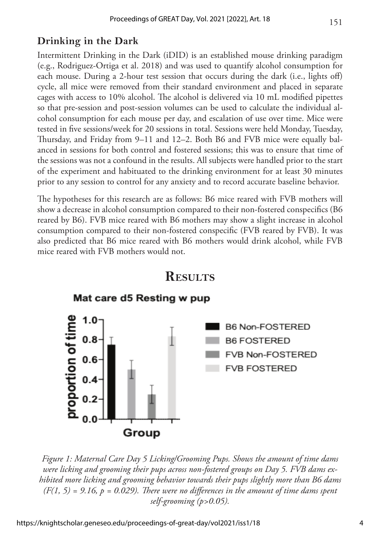# **Drinking in the Dark**

Intermittent Drinking in the Dark (iDID) is an established mouse drinking paradigm (e.g., Rodriguez-Ortiga et al. 2018) and was used to quantify alcohol consumption for each mouse. During a 2-hour test session that occurs during the dark (i.e., lights off) cycle, all mice were removed from their standard environment and placed in separate cages with access to 10% alcohol. The alcohol is delivered via 10 mL modified pipettes so that pre-session and post-session volumes can be used to calculate the individual alcohol consumption for each mouse per day, and escalation of use over time. Mice were tested in five sessions/week for 20 sessions in total. Sessions were held Monday, Tuesday, Thursday, and Friday from 9–11 and 12–2. Both B6 and FVB mice were equally balanced in sessions for both control and fostered sessions; this was to ensure that time of the sessions was not a confound in the results. All subjects were handled prior to the start of the experiment and habituated to the drinking environment for at least 30 minutes prior to any session to control for any anxiety and to record accurate baseline behavior.

The hypotheses for this research are as follows: B6 mice reared with FVB mothers will show a decrease in alcohol consumption compared to their non-fostered conspecifics (B6 reared by B6). FVB mice reared with B6 mothers may show a slight increase in alcohol consumption compared to their non-fostered conspecific (FVB reared by FVB). It was also predicted that B6 mice reared with B6 mothers would drink alcohol, while FVB mice reared with FVB mothers would not.



# **Results**

*Figure 1: Maternal Care Day 5 Licking/Grooming Pups. Shows the amount of time dams were licking and grooming their pups across non-fostered groups on Day 5. FVB dams exhibited more licking and grooming behavior towards their pups slightly more than B6 dams*   $(F(1, 5) = 9.16, p = 0.029)$ . There were no differences in the amount of time dams spent *self-grooming (p>0.05).*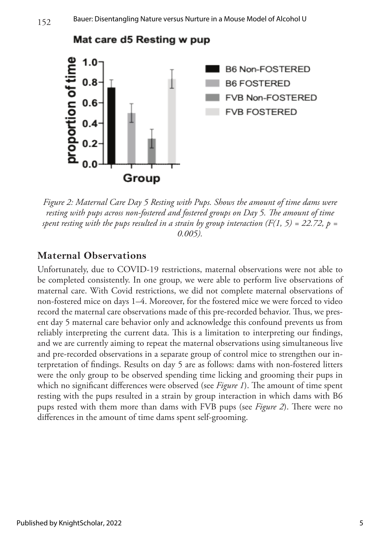

*Figure 2: Maternal Care Day 5 Resting with Pups. Shows the amount of time dams were resting with pups across non-fostered and fostered groups on Day 5. The amount of time spent resting with the pups resulted in a strain by group interaction (F(1, 5) = 22.72, p = 0.005).*

# **Maternal Observations**

Unfortunately, due to COVID-19 restrictions, maternal observations were not able to be completed consistently. In one group, we were able to perform live observations of maternal care. With Covid restrictions, we did not complete maternal observations of non-fostered mice on days 1–4. Moreover, for the fostered mice we were forced to video record the maternal care observations made of this pre-recorded behavior. Thus, we present day 5 maternal care behavior only and acknowledge this confound prevents us from reliably interpreting the current data. This is a limitation to interpreting our findings, and we are currently aiming to repeat the maternal observations using simultaneous live and pre-recorded observations in a separate group of control mice to strengthen our interpretation of findings. Results on day 5 are as follows: dams with non-fostered litters were the only group to be observed spending time licking and grooming their pups in which no significant differences were observed (see *Figure 1*). The amount of time spent resting with the pups resulted in a strain by group interaction in which dams with B6 pups rested with them more than dams with FVB pups (see *Figure 2*). There were no differences in the amount of time dams spent self-grooming.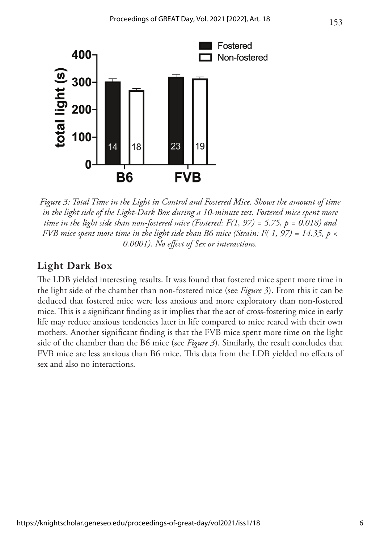

*Figure 3: Total Time in the Light in Control and Fostered Mice. Shows the amount of time in the light side of the Light-Dark Box during a 10-minute test. Fostered mice spent more time in the light side than non-fostered mice (Fostered: F(1, 97) = 5.75, p = 0.018) and FVB mice spent more time in the light side than B6 mice (Strain: F( 1, 97) = 14.35, p < 0.0001). No effect of Sex or interactions.*

### **Light Dark Box**

The LDB yielded interesting results. It was found that fostered mice spent more time in the light side of the chamber than non-fostered mice (see *Figure 3*). From this it can be deduced that fostered mice were less anxious and more exploratory than non-fostered mice. This is a significant finding as it implies that the act of cross-fostering mice in early life may reduce anxious tendencies later in life compared to mice reared with their own mothers. Another significant finding is that the FVB mice spent more time on the light side of the chamber than the B6 mice (see *Figure 3*). Similarly, the result concludes that FVB mice are less anxious than B6 mice. This data from the LDB yielded no effects of sex and also no interactions.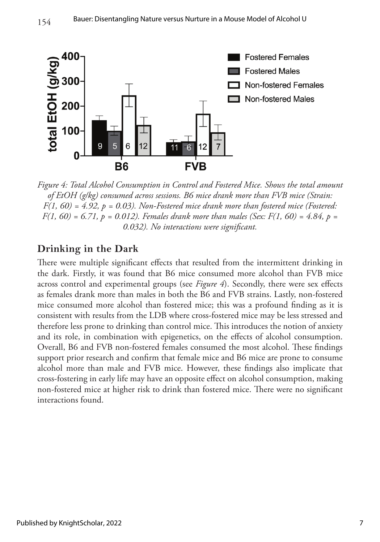

*Figure 4: Total Alcohol Consumption in Control and Fostered Mice. Shows the total amount of EtOH (g/kg) consumed across sessions. B6 mice drank more than FVB mice (Strain: F(1, 60) = 4.92, p = 0.03). Non-Fostered mice drank more than fostered mice (Fostered: F(1, 60) = 6.71, p = 0.012). Females drank more than males (Sex: F(1, 60) = 4.84, p = 0.032). No interactions were significant.*

## **Drinking in the Dark**

There were multiple significant effects that resulted from the intermittent drinking in the dark. Firstly, it was found that B6 mice consumed more alcohol than FVB mice across control and experimental groups (see *Figure 4*). Secondly, there were sex effects as females drank more than males in both the B6 and FVB strains. Lastly, non-fostered mice consumed more alcohol than fostered mice; this was a profound finding as it is consistent with results from the LDB where cross-fostered mice may be less stressed and therefore less prone to drinking than control mice. This introduces the notion of anxiety and its role, in combination with epigenetics, on the effects of alcohol consumption. Overall, B6 and FVB non-fostered females consumed the most alcohol. These findings support prior research and confirm that female mice and B6 mice are prone to consume alcohol more than male and FVB mice. However, these findings also implicate that cross-fostering in early life may have an opposite effect on alcohol consumption, making non-fostered mice at higher risk to drink than fostered mice. There were no significant interactions found.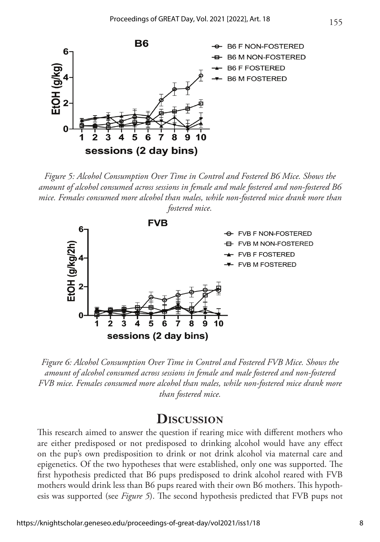

*Figure 5: Alcohol Consumption Over Time in Control and Fostered B6 Mice. Shows the amount of alcohol consumed across sessions in female and male fostered and non-fostered B6 mice. Females consumed more alcohol than males, while non-fostered mice drank more than fostered mice.* 



*Figure 6: Alcohol Consumption Over Time in Control and Fostered FVB Mice. Shows the amount of alcohol consumed across sessions in female and male fostered and non-fostered FVB mice. Females consumed more alcohol than males, while non-fostered mice drank more than fostered mice.* 

# **Discussion**

This research aimed to answer the question if rearing mice with different mothers who are either predisposed or not predisposed to drinking alcohol would have any effect on the pup's own predisposition to drink or not drink alcohol via maternal care and epigenetics. Of the two hypotheses that were established, only one was supported. The first hypothesis predicted that B6 pups predisposed to drink alcohol reared with FVB mothers would drink less than B6 pups reared with their own B6 mothers. This hypothesis was supported (see *Figure 5*). The second hypothesis predicted that FVB pups not

155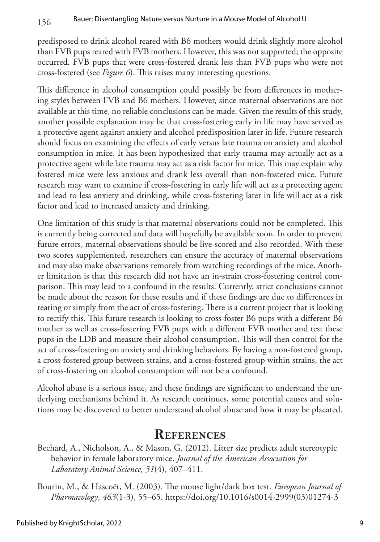predisposed to drink alcohol reared with B6 mothers would drink slightly more alcohol than FVB pups reared with FVB mothers. However, this was not supported; the opposite occurred. FVB pups that were cross-fostered drank less than FVB pups who were not cross-fostered (see *Figure 6*). This raises many interesting questions.

This difference in alcohol consumption could possibly be from differences in mothering styles between FVB and B6 mothers. However, since maternal observations are not available at this time, no reliable conclusions can be made. Given the results of this study, another possible explanation may be that cross-fostering early in life may have served as a protective agent against anxiety and alcohol predisposition later in life. Future research should focus on examining the effects of early versus late trauma on anxiety and alcohol consumption in mice. It has been hypothesized that early trauma may actually act as a protective agent while late trauma may act as a risk factor for mice. This may explain why fostered mice were less anxious and drank less overall than non-fostered mice. Future research may want to examine if cross-fostering in early life will act as a protecting agent and lead to less anxiety and drinking, while cross-fostering later in life will act as a risk factor and lead to increased anxiety and drinking.

One limitation of this study is that maternal observations could not be completed. This is currently being corrected and data will hopefully be available soon. In order to prevent future errors, maternal observations should be live-scored and also recorded. With these two scores supplemented, researchers can ensure the accuracy of maternal observations and may also make observations remotely from watching recordings of the mice. Another limitation is that this research did not have an in-strain cross-fostering control comparison. This may lead to a confound in the results. Currently, strict conclusions cannot be made about the reason for these results and if these findings are due to differences in rearing or simply from the act of cross-fostering. There is a current project that is looking to rectify this. This future research is looking to cross-foster B6 pups with a different B6 mother as well as cross-fostering FVB pups with a different FVB mother and test these pups in the LDB and measure their alcohol consumption. This will then control for the act of cross-fostering on anxiety and drinking behaviors. By having a non-fostered group, a cross-fostered group between strains, and a cross-fostered group within strains, the act of cross-fostering on alcohol consumption will not be a confound.

Alcohol abuse is a serious issue, and these findings are significant to understand the underlying mechanisms behind it. As research continues, some potential causes and solutions may be discovered to better understand alcohol abuse and how it may be placated.

# **References**

- Bechard, A., Nicholson, A., & Mason, G. (2012). Litter size predicts adult stereotypic behavior in female laboratory mice. *Journal of the American Association for Laboratory Animal Science, 51*(4), 407–411.
- Bourin, M., & Hascoët, M. (2003). The mouse light/dark box test. *European Journal of Pharmacology*, *463*(1-3), 55–65. [https://doi.org/10.1016/s0014-2999\(03\)01274-3](https://doi.org/10.1016/s0014-2999(03)01274-3)